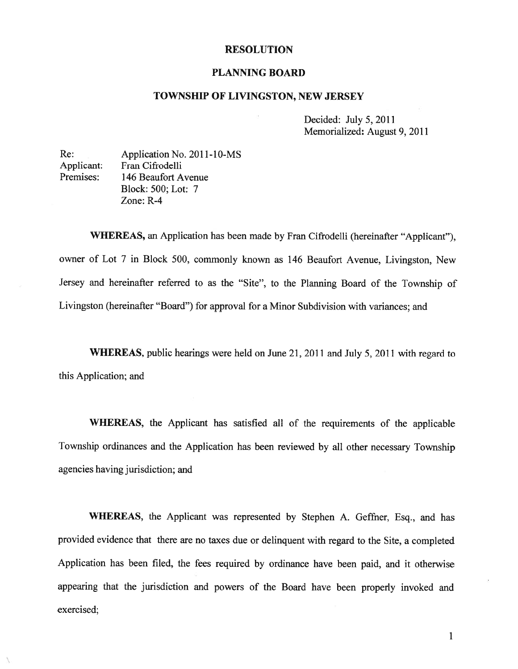## RESOLUTION

## PLANNING BOARD

## TOWNSHIP OF LIVINGSTON, NEW JERSEY

Decided: July 5, 2011 Memorialized: August 9, 2011

Re: Application No. 2011-10-MS Applicant: Fran Cifrodelli Premises: 146 Beaufort Avenue Block: 500; Lot: 7 Zone: R-4

WHEREAS, an Application has been made by Fran Cifrodelli (hereinafter "Applicant"), owner of Lot <sup>7</sup> in Block 500, commonly known as <sup>146</sup> Beaufort Avenue, Livingston, New Jersey and hereinafter referred to as the "Site", to the Planning Board of the Township of Livingston (hereinafter "Board") for approval for <sup>a</sup> Minor Subdivision with variances; and

WHEREAS, public hearings were held on June 21, <sup>2011</sup> and July 5, <sup>2011</sup> with regard to this Application; and

WHEREAS, the Applicant has satisfied all of the requirements of the applicable Township ordinances and the Application has been reviewed by all other necessary Township agencies having jurisdiction; and

WHEREAS, the Applicant was represented by Stephen A. Geffner, Esq., and has provided evidence that there are no taxes due or delinquent with regar<sup>d</sup> to the Site, <sup>a</sup> completed Application has been filed, the fees required by ordinance have been paid, and it otherwise appearing that the jurisdiction and powers of the Board have been properly invoked and exercised;

> $\mathbf{1}$ 1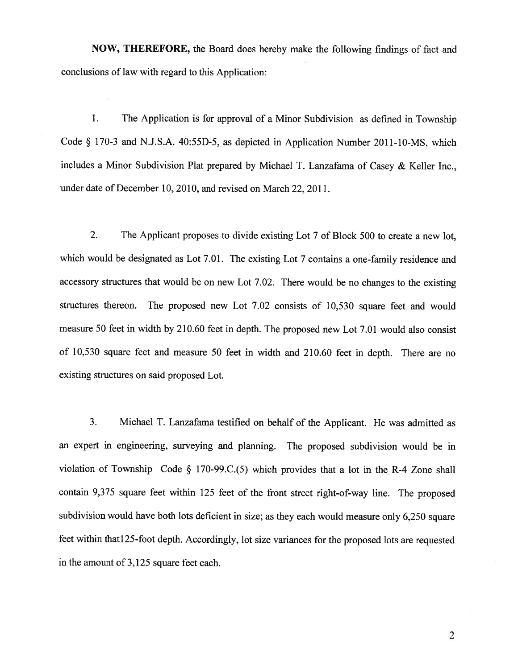NOW, THEREFORE, the Board does hereby make the following findings of fact and conclusions of law with regard to this Application:

1. The Application is for approva<sup>l</sup> of <sup>a</sup> Minor Subdivision as defined in Township Code § 170-3 and N.J.S.A. 40:55D-5, as depicted in Application Number 2011-10-MS, which includes <sup>a</sup> Minor Subdivision Plat prepare<sup>d</sup> by Michael T. Lanzafama of Casey & Keller Inc., under date of December 10, 2010, and revised on March 22, 2011.

2. The Applicant proposes to divide existing Lot 7 of Block 500 to create <sup>a</sup> new lot, which would be designated as Lot 7.01. The existing Lot 7 contains a one-family residence and accessory structures that would be on new Lot 7.02. There would be no changes to the existing structures thereon. The propose<sup>d</sup> new Lot 7.02 consists of 10,530 square feet and would measure 50 feet in width by 210.60 feet in depth. The proposed new Lot 7.01 would also consist of 10,530 square feet and measure <sup>50</sup> feet in width and 210.60 feet in depth. There are no existing structures on said proposed Lot.

3. Michael T. Lanzafama testified on behalf of the Applicant. He was admitted as an exper<sup>t</sup> in engineering, surveying and <sup>p</sup>lanning. The propose<sup>d</sup> subdivision would be in violation of Township Code § 170-99.C.(5) which provides that a lot in the R-4 Zone shall contain 9,375 square feet within <sup>125</sup> feet of the front street right-of-way line. The propose<sup>d</sup> subdivision would have both lots deficient in size; as they each would measure only 6,250 square feet within thatl25-foot depth. Accordingly, lot size variances for the propose<sup>d</sup> lots are requested in the amount of 3,125 square feet each.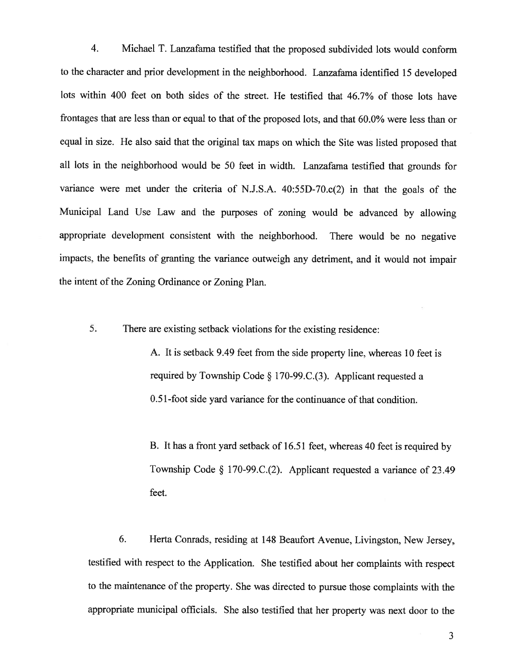4. Michael I. Lanzafama testified that the proposed subdivided lots would conform to the character and prior development in the neighborhood. Lanzafama identified <sup>15</sup> developed lots within 400 feet on both sides of the street. He testified that 46.7% of those lots have frontages that are less than or equal to that of the proposed lots, and that 60.0% were less than or equa<sup>l</sup> in size. He also said that the original tax maps on which the Site was listed propose<sup>d</sup> that all lots in the neighborhood would be <sup>50</sup> feet in width. Lanzafama testified that grounds for variance were met under the criteria of N.J.S.A. 40:55D-70.c(2) in that the goals of the Municipal Land Use Law and the purposes of zoning would be advanced by allowing appropriate development consistent with the neighborhood. There would be no negative impacts, the benefits of granting the variance outweigh any detriment, and it would not impair the intent of the Zoning Ordinance or Zoning Plan.

5. There are existing setback violations for the existing residence:

A. It is setback 9.49 feet from the side property line, whereas 10 feet is required by Township Code  $\S 170-99$ .C.(3). Applicant requested a 0.51-foot side yard variance for the continuance of that condition.

13. It has <sup>a</sup> front yar<sup>d</sup> setback of 16.51 feet, whereas <sup>40</sup> feet is required by Township Code § l70-99.C.(2). Applicant requested <sup>a</sup> variance of 23.49 feet.

6. Herta Conrads, residing at <sup>148</sup> Beaufort Avenue, Livingston, New Jersey, testified with respec<sup>t</sup> to the Application. She testified about her complaints with respec<sup>t</sup> to the maintenance of the property. She was directed to pursue those complaints with the appropriate municipal officials. She also testified that her property was next door to the

3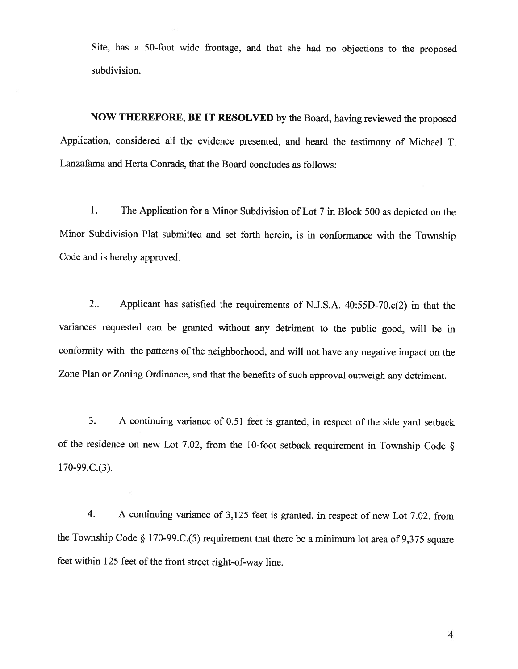Site, has <sup>a</sup> 50-foot wide frontage, and that she had no objections to the proposed subdivision.

NOW THEREFORE, BE IT RESOLVED by the Board, having reviewed the proposed Application, considered all the evidence presented, and heard the testimony of Michael T. Lanzafama and Herta Conrads, that the Board concludes as follows:

1. The Application for <sup>a</sup> Minor Subdivision of Lot <sup>7</sup> in Block <sup>500</sup> as depicted on the Minor Subdivision Plat submitted and set forth herein, is in conformance with the Township Code and is hereby approved.

2.. Applicant has satisfied the requirements of N.J.S.A. 40:55D-70.c(2) in that the variances requested can be granted without any detriment to the public good, will be in conformity with the patterns of the neighborhood, and will not have any negative impact on the Zone Plan or Zoning Ordinance, and that the benefits of such approval outweigh any detriment.

3. <sup>A</sup> continuing variance of 0.51 feet is granted, in respect of the side yard setback of the residence on new Lot 7.02, from the 10-foot setback requirement in Township Code § 1 70-99.C.(3).

4. <sup>A</sup> continuing variance of 3,125 feet is granted, in respect of new Lot 7.02, from the Township Code  $\S$  170-99.C.(5) requirement that there be a minimum lot area of 9,375 square feet within <sup>125</sup> feet of the front street right-of-way line.

4